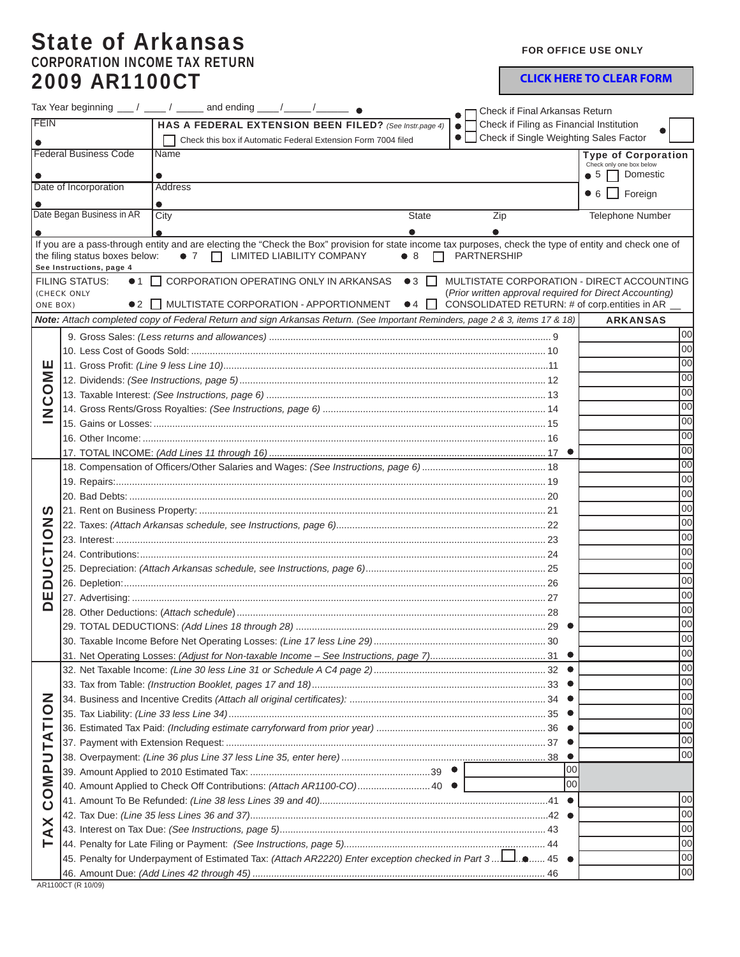## State of Arkansas CORPORATION INCOME TAX RETURN 2009 AR1100CT

FOR OFFICE USE ONLY

**CLICK HERE TO CLEAR FORM**

|                              |                                                   | Tax Year beginning $\frac{1}{\sqrt{2}}$ / $\frac{1}{\sqrt{2}}$ and ending $\frac{1}{\sqrt{2}}$ / $\frac{1}{\sqrt{2}}$                                                                       |                                          | Check if Final Arkansas Return                          |                                                         |
|------------------------------|---------------------------------------------------|---------------------------------------------------------------------------------------------------------------------------------------------------------------------------------------------|------------------------------------------|---------------------------------------------------------|---------------------------------------------------------|
| <b>FEIN</b>                  |                                                   | HAS A FEDERAL EXTENSION BEEN FILED? (See Instr.page 4)                                                                                                                                      |                                          | Check if Filing as Financial Institution                |                                                         |
|                              |                                                   | Check this box if Automatic Federal Extension Form 7004 filed                                                                                                                               | • Check if Single Weighting Sales Factor |                                                         |                                                         |
|                              | <b>Federal Business Code</b>                      | Name                                                                                                                                                                                        |                                          |                                                         | <b>Type of Corporation</b>                              |
|                              |                                                   |                                                                                                                                                                                             |                                          |                                                         | Check only one box below<br>$\bullet$ 5 $\Box$ Domestic |
| Date of Incorporation        |                                                   | <b>Address</b>                                                                                                                                                                              |                                          |                                                         |                                                         |
|                              |                                                   |                                                                                                                                                                                             |                                          |                                                         | $\bullet$ 6 $\Box$ Foreign                              |
|                              | Date Began Business in AR                         | City                                                                                                                                                                                        | <b>State</b>                             | Zip                                                     | Telephone Number                                        |
|                              |                                                   |                                                                                                                                                                                             |                                          |                                                         |                                                         |
|                              | the filing status boxes below:                    | If you are a pass-through entity and are electing the "Check the Box" provision for state income tax purposes, check the type of entity and check one of<br>• 7   LIMITED LIABILITY COMPANY | $\bullet$ 8<br>П                         | <b>PARTNERSHIP</b>                                      |                                                         |
|                              | See Instructions, page 4<br><b>FILING STATUS:</b> | ● 1 □ CORPORATION OPERATING ONLY IN ARKANSAS                                                                                                                                                | $\bullet$ 3 $\Box$                       | MULTISTATE CORPORATION - DIRECT ACCOUNTING              |                                                         |
|                              | (CHECK ONLY                                       |                                                                                                                                                                                             |                                          | (Prior written approval required for Direct Accounting) |                                                         |
| ONE BOX)                     |                                                   | ● 2   MULTISTATE CORPORATION - APPORTIONMENT ● 4                                                                                                                                            |                                          | CONSOLIDATED RETURN: # of corp.entities in AR __        |                                                         |
|                              |                                                   | Note: Attach completed copy of Federal Return and sign Arkansas Return. (See Important Reminders, page 2 & 3, items 17 & 18)                                                                |                                          |                                                         | <b>ARKANSAS</b>                                         |
|                              |                                                   |                                                                                                                                                                                             |                                          |                                                         | loo                                                     |
| ш<br><b>NCOM</b>             |                                                   |                                                                                                                                                                                             |                                          |                                                         | loo                                                     |
|                              |                                                   |                                                                                                                                                                                             |                                          |                                                         | 00                                                      |
|                              |                                                   |                                                                                                                                                                                             |                                          |                                                         | 00                                                      |
|                              |                                                   |                                                                                                                                                                                             |                                          |                                                         | 00                                                      |
|                              |                                                   |                                                                                                                                                                                             |                                          |                                                         | 00                                                      |
|                              |                                                   | 00                                                                                                                                                                                          |                                          |                                                         |                                                         |
|                              |                                                   |                                                                                                                                                                                             |                                          |                                                         | 00                                                      |
|                              |                                                   |                                                                                                                                                                                             |                                          |                                                         | 00                                                      |
|                              |                                                   |                                                                                                                                                                                             |                                          |                                                         | 00                                                      |
|                              |                                                   |                                                                                                                                                                                             |                                          |                                                         | 00                                                      |
|                              |                                                   |                                                                                                                                                                                             |                                          |                                                         | 00                                                      |
| <b>U</b>                     |                                                   | 00                                                                                                                                                                                          |                                          |                                                         |                                                         |
|                              |                                                   |                                                                                                                                                                                             |                                          |                                                         | 00                                                      |
| NOLL                         |                                                   |                                                                                                                                                                                             |                                          |                                                         | 00                                                      |
|                              |                                                   |                                                                                                                                                                                             |                                          |                                                         | 00                                                      |
| <u>ن</u><br>ا                |                                                   | 00                                                                                                                                                                                          |                                          |                                                         |                                                         |
| $\Omega$                     |                                                   |                                                                                                                                                                                             |                                          |                                                         | 00                                                      |
| ш<br>Ω                       |                                                   |                                                                                                                                                                                             |                                          |                                                         | 00                                                      |
|                              |                                                   |                                                                                                                                                                                             |                                          |                                                         | 00                                                      |
|                              |                                                   |                                                                                                                                                                                             |                                          | . 29                                                    | loo                                                     |
|                              |                                                   |                                                                                                                                                                                             |                                          |                                                         | loo                                                     |
|                              |                                                   |                                                                                                                                                                                             |                                          |                                                         | 00                                                      |
|                              |                                                   |                                                                                                                                                                                             |                                          |                                                         | 00                                                      |
|                              |                                                   |                                                                                                                                                                                             |                                          |                                                         | 00<br>00                                                |
| ζ                            |                                                   |                                                                                                                                                                                             |                                          |                                                         | 00                                                      |
| OMPUTATIO                    |                                                   |                                                                                                                                                                                             |                                          |                                                         | loo                                                     |
|                              |                                                   |                                                                                                                                                                                             |                                          |                                                         | loo                                                     |
|                              |                                                   |                                                                                                                                                                                             |                                          |                                                         | loo                                                     |
|                              |                                                   |                                                                                                                                                                                             |                                          | 100                                                     |                                                         |
|                              |                                                   |                                                                                                                                                                                             |                                          | $\overline{00}$                                         |                                                         |
| $\overline{O}$<br><b>TAX</b> |                                                   | 40. Amount Applied to Check Off Contributions: (Attach AR1100-CO) 40 ●                                                                                                                      |                                          |                                                         | 00                                                      |
|                              |                                                   |                                                                                                                                                                                             |                                          |                                                         | 00                                                      |
|                              |                                                   |                                                                                                                                                                                             |                                          |                                                         | 00                                                      |
|                              |                                                   |                                                                                                                                                                                             |                                          |                                                         | 00                                                      |
|                              |                                                   | 45 - 45. Penalty for Underpayment of Estimated Tax: (Attach AR2220) Enter exception checked in Part 3 1.                                                                                    |                                          |                                                         | 00                                                      |
|                              |                                                   |                                                                                                                                                                                             |                                          |                                                         | 00                                                      |
|                              |                                                   |                                                                                                                                                                                             |                                          |                                                         |                                                         |

AR1100CT (R 10/09)